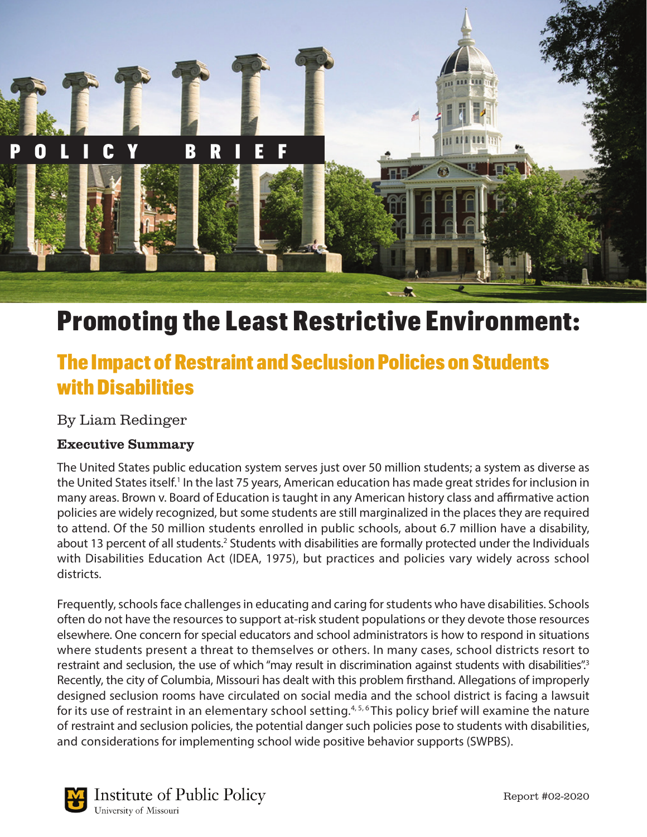

# Promoting the Least Restrictive Environment:

## The Impact of Restraint and Seclusion Policies on Students with Disabilities

By Liam Redinger

#### Executive Summary

The United States public education system serves just over 50 million students; a system as diverse as the United States itself.<sup>1</sup> In the last 75 years, American education has made great strides for inclusion in many areas. Brown v. Board of Education is taught in any American history class and affirmative action policies are widely recognized, but some students are still marginalized in the places they are required to attend. Of the 50 million students enrolled in public schools, about 6.7 million have a disability, about 13 percent of all students.<sup>2</sup> Students with disabilities are formally protected under the Individuals with Disabilities Education Act (IDEA, 1975), but practices and policies vary widely across school districts.

Frequently, schools face challenges in educating and caring for students who have disabilities. Schools often do not have the resources to support at-risk student populations or they devote those resources elsewhere. One concern for special educators and school administrators is how to respond in situations where students present a threat to themselves or others. In many cases, school districts resort to restraint and seclusion, the use of which "may result in discrimination against students with disabilities".<sup>3</sup> Recently, the city of Columbia, Missouri has dealt with this problem firsthand. Allegations of improperly designed seclusion rooms have circulated on social media and the school district is facing a lawsuit for its use of restraint in an elementary school setting.<sup>4,5,6</sup> This policy brief will examine the nature of restraint and seclusion policies, the potential danger such policies pose to students with disabilities, and considerations for implementing school wide positive behavior supports (SWPBS).

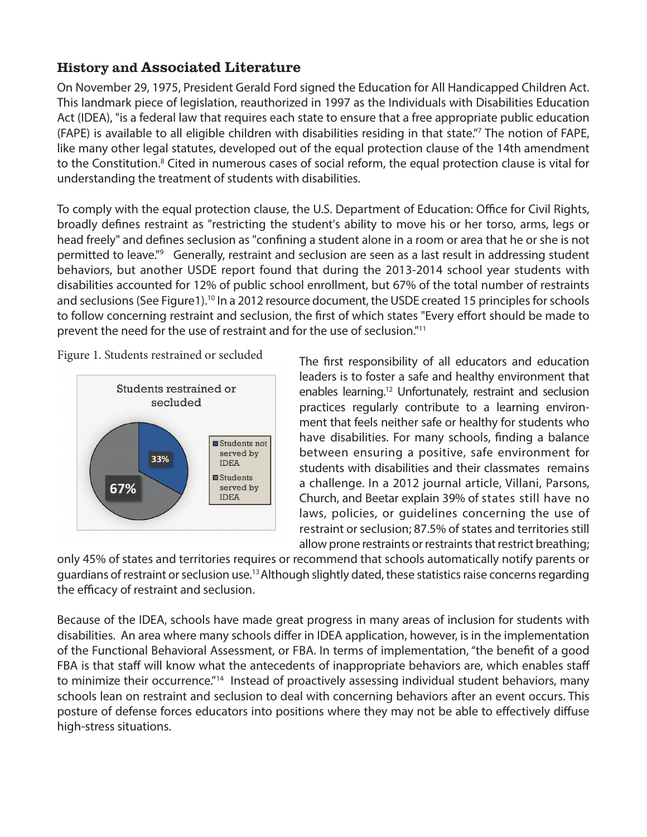#### History and Associated Literature

On November 29, 1975, President Gerald Ford signed the Education for All Handicapped Children Act. This landmark piece of legislation, reauthorized in 1997 as the Individuals with Disabilities Education Act (IDEA), "is a federal law that requires each state to ensure that a free appropriate public education (FAPE) is available to all eligible children with disabilities residing in that state."7 The notion of FAPE, like many other legal statutes, developed out of the equal protection clause of the 14th amendment to the Constitution.<sup>8</sup> Cited in numerous cases of social reform, the equal protection clause is vital for understanding the treatment of students with disabilities.

To comply with the equal protection clause, the U.S. Department of Education: Office for Civil Rights, broadly defines restraint as "restricting the student's ability to move his or her torso, arms, legs or head freely" and defines seclusion as "confining a student alone in a room or area that he or she is not permitted to leave."<sup>9</sup> Generally, restraint and seclusion are seen as a last result in addressing student behaviors, but another USDE report found that during the 2013-2014 school year students with disabilities accounted for 12% of public school enrollment, but 67% of the total number of restraints and seclusions (See Figure1).<sup>10</sup> In a 2012 resource document, the USDE created 15 principles for schools to follow concerning restraint and seclusion, the first of which states "Every effort should be made to prevent the need for the use of restraint and for the use of seclusion."11

 $\overline{a}$ Figure 1. Students restrained or secluded



The first responsibility of all educators and education leaders is to foster a safe and healthy environment that enables learning.12 Unfortunately, restraint and seclusion practices regularly contribute to a learning environment that feels neither safe or healthy for students who have disabilities. For many schools, finding a balance between ensuring a positive, safe environment for students with disabilities and their classmates remains a challenge. In a 2012 journal article, Villani, Parsons, Church, and Beetar explain 39% of states still have no laws, policies, or guidelines concerning the use of restraint or seclusion; 87.5% of states and territories still allow prone restraints or restraints that restrict breathing;

only 45% of states and territories requires or recommend that schools automatically notify parents or guardians of restraint or seclusion use.13Although slightly dated, these statistics raise concerns regarding the efficacy of restraint and seclusion.

Because of the IDEA, schools have made great progress in many areas of inclusion for students with disabilities. An area where many schools differ in IDEA application, however, is in the implementation of the Functional Behavioral Assessment, or FBA. In terms of implementation, "the benefit of a good FBA is that staff will know what the antecedents of inappropriate behaviors are, which enables staff to minimize their occurrence."<sup>14</sup> Instead of proactively assessing individual student behaviors, many schools lean on restraint and seclusion to deal with concerning behaviors after an event occurs. This posture of defense forces educators into positions where they may not be able to effectively diffuse high-stress situations.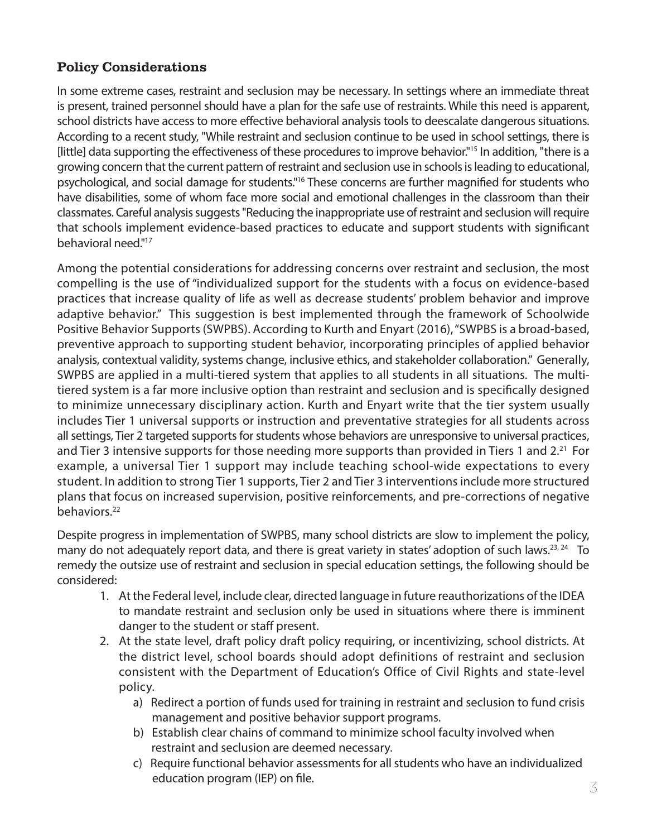### Policy Considerations

In some extreme cases, restraint and seclusion may be necessary. In settings where an immediate threat is present, trained personnel should have a plan for the safe use of restraints. While this need is apparent, school districts have access to more effective behavioral analysis tools to deescalate dangerous situations. According to a recent study, "While restraint and seclusion continue to be used in school settings, there is [little] data supporting the effectiveness of these procedures to improve behavior."15 In addition, "there is a growing concern that the current pattern of restraint and seclusion use in schools is leading to educational, psychological, and social damage for students."16 These concerns are further magnified for students who have disabilities, some of whom face more social and emotional challenges in the classroom than their classmates. Careful analysis suggests "Reducing the inappropriate use of restraint and seclusion will require that schools implement evidence-based practices to educate and support students with significant behavioral need."17

Among the potential considerations for addressing concerns over restraint and seclusion, the most compelling is the use of "individualized support for the students with a focus on evidence-based practices that increase quality of life as well as decrease students' problem behavior and improve adaptive behavior." This suggestion is best implemented through the framework of Schoolwide Positive Behavior Supports (SWPBS). According to Kurth and Enyart (2016), "SWPBS is a broad-based, preventive approach to supporting student behavior, incorporating principles of applied behavior analysis, contextual validity, systems change, inclusive ethics, and stakeholder collaboration." Generally, SWPBS are applied in a multi-tiered system that applies to all students in all situations. The multitiered system is a far more inclusive option than restraint and seclusion and is specifically designed to minimize unnecessary disciplinary action. Kurth and Enyart write that the tier system usually includes Tier 1 universal supports or instruction and preventative strategies for all students across all settings, Tier 2 targeted supports for students whose behaviors are unresponsive to universal practices, and Tier 3 intensive supports for those needing more supports than provided in Tiers 1 and 2.<sup>21</sup> For example, a universal Tier 1 support may include teaching school-wide expectations to every student. In addition to strong Tier 1 supports, Tier 2 and Tier 3 interventions include more structured plans that focus on increased supervision, positive reinforcements, and pre-corrections of negative behaviors.<sup>22</sup>

Despite progress in implementation of SWPBS, many school districts are slow to implement the policy, many do not adequately report data, and there is great variety in states' adoption of such laws.<sup>23, 24</sup> To remedy the outsize use of restraint and seclusion in special education settings, the following should be considered:

- 1. At the Federal level, include clear, directed language in future reauthorizations of the IDEA to mandate restraint and seclusion only be used in situations where there is imminent danger to the student or staff present.
- 2. At the state level, draft policy draft policy requiring, or incentivizing, school districts. At the district level, school boards should adopt definitions of restraint and seclusion consistent with the Department of Education's Office of Civil Rights and state-level policy.
	- a) Redirect a portion of funds used for training in restraint and seclusion to fund crisis management and positive behavior support programs.
	- b) Establish clear chains of command to minimize school faculty involved when restraint and seclusion are deemed necessary.
	- c) Require functional behavior assessments for all students who have an individualized education program (IEP) on file.  $\leq$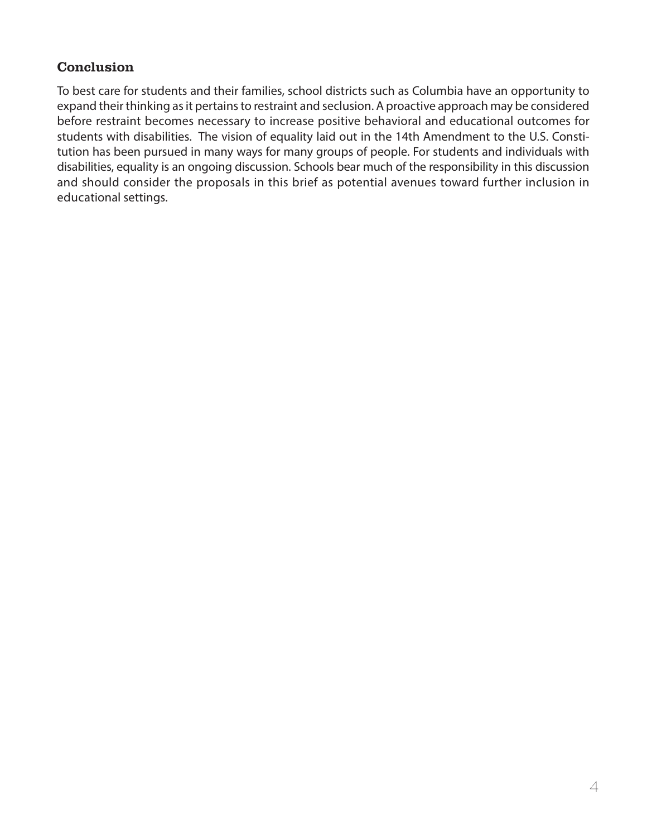#### **Conclusion**

To best care for students and their families, school districts such as Columbia have an opportunity to expand their thinking as it pertains to restraint and seclusion. A proactive approach may be considered before restraint becomes necessary to increase positive behavioral and educational outcomes for students with disabilities. The vision of equality laid out in the 14th Amendment to the U.S. Constitution has been pursued in many ways for many groups of people. For students and individuals with disabilities, equality is an ongoing discussion. Schools bear much of the responsibility in this discussion and should consider the proposals in this brief as potential avenues toward further inclusion in educational settings.